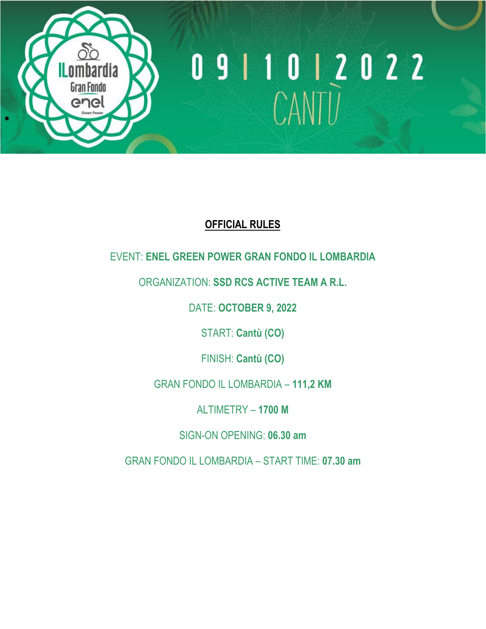

# 0 9 1 1 0 1 2 0 2 2<br>CANTU

### **OFFICIAL RULES**

### EVENT: **ENEL GREEN POWER GRAN FONDO IL LOMBARDIA**

### ORGANIZATION: **SSD RCS ACTIVE TEAM A R.L.**

DATE: **OCTOBER 9, 2022**

START: **Cantù (CO)**

FINISH: **Cantù (CO)**

GRAN FONDO IL LOMBARDIA – **111,2 KM**

ALTIMETRY – **1700 M**

SIGN-ON OPENING: **06.30 am**

GRAN FONDO IL LOMBARDIA – START TIME: **07.30 am**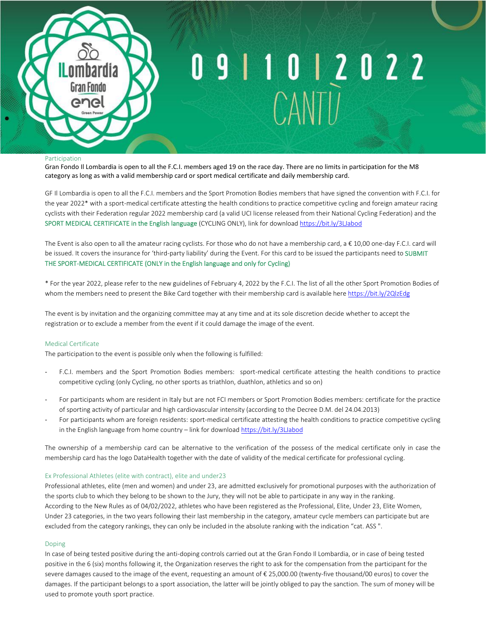

# 9 1 1 0 1 2 0 2 2

#### Participation

Gran Fondo Il Lombardia is open to all the F.C.I. members aged 19 on the race day. There are no limits in participation for the M8 category as long as with a valid membership card or sport medical certificate and daily membership card.

GF Il Lombardia is open to all the F.C.I. members and the Sport Promotion Bodies members that have signed the convention with F.C.I. for the year 2022\* with a sport-medical certificate attesting the health conditions to practice competitive cycling and foreign amateur racing cyclists with their Federation regular 2022 membership card (a valid UCI license released from their National Cycling Federation) and the SPORT MEDICAL CERTIFICATE in the English language (CYCLING ONLY), link for download<https://bit.ly/3LJabod>

The Event is also open to all the amateur racing cyclists. For those who do not have a membership card, a € 10,00 one-day F.C.I. card will be issued. It covers the insurance for 'third-party liability' during the Event. For this card to be issued the participants need to SUBMIT THE SPORT-MEDICAL CERTIFICATE (ONLY in the English language and only for Cycling)

\* For the year 2022, please refer to the new guidelines of February 4, 2022 by the F.C.I. The list of all the other Sport Promotion Bodies of whom the members need to present the Bike Card together with their membership card is available here <https://bit.ly/2QlzEdg>

The event is by invitation and the organizing committee may at any time and at its sole discretion decide whether to accept the registration or to exclude a member from the event if it could damage the image of the event.

#### Medical Certificate

The participation to the event is possible only when the following is fulfilled:

- F.C.I. members and the Sport Promotion Bodies members: sport-medical certificate attesting the health conditions to practice competitive cycling (only Cycling, no other sports as triathlon, duathlon, athletics and so on)
- For participants whom are resident in Italy but are not FCI members or Sport Promotion Bodies members: certificate for the practice of sporting activity of particular and high cardiovascular intensity (according to the Decree D.M. del 24.04.2013)
- For participants whom are foreign residents: sport-medical certificate attesting the health conditions to practice competitive cycling in the English language from home country – link for download <https://bit.ly/3LJabod>

The ownership of a membership card can be alternative to the verification of the possess of the medical certificate only in case the membership card has the logo DataHealth together with the date of validity of the medical certificate for professional cycling.

#### Ex Professional Athletes (elite with contract), elite and under23

Professional athletes, elite (men and women) and under 23, are admitted exclusively for promotional purposes with the authorization of the sports club to which they belong to be shown to the Jury, they will not be able to participate in any way in the ranking. According to the New Rules as of 04/02/2022, athletes who have been registered as the Professional, Elite, Under 23, Elite Women, Under 23 categories, in the two years following their last membership in the category, amateur cycle members can participate but are excluded from the category rankings, they can only be included in the absolute ranking with the indication "cat. ASS ".

#### Doping

In case of being tested positive during the anti-doping controls carried out at the Gran Fondo Il Lombardia, or in case of being tested positive in the 6 (six) months following it, the Organization reserves the right to ask for the compensation from the participant for the severe damages caused to the image of the event, requesting an amount of € 25,000.00 (twenty-five thousand/00 euros) to cover the damages. If the participant belongs to a sport association, the latter will be jointly obliged to pay the sanction. The sum of money will be used to promote youth sport practice.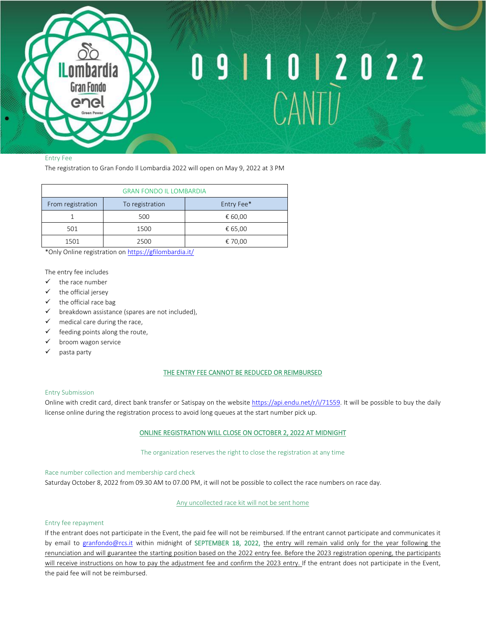

# 9 1 1 0 1 2 0 2 2

#### Entry Fee

The registration to Gran Fondo Il Lombardia 2022 will open on May 9, 2022 at 3 PM

| <b>GRAN FONDO IL LOMBARDIA</b> |                 |            |
|--------------------------------|-----------------|------------|
| From registration              | To registration | Entry Fee* |
|                                | 500             | € 60,00    |
| 501                            | 1500            | € 65,00    |
| 1501                           | 2500            | € 70,00    |

\*Only Online registration o[n https://gfilombardia.it/](https://gfilombardia.it/)

The entry fee includes

- ✓ the race number
- ✓ the official jersey
- $\checkmark$  the official race bag
- $\checkmark$  breakdown assistance (spares are not included),
- $\checkmark$  medical care during the race,
- $\checkmark$  feeding points along the route,
- ✓ broom wagon service
- ✓ pasta party

#### THE ENTRY FEE CANNOT BE REDUCED OR REIMBURSED

#### Entry Submission

Online with credit card, direct bank transfer or Satispay on the website https://api.endu.net/r/j/71559. It will be possible to buy the daily license online during the registration process to avoid long queues at the start number pick up.

#### ONLINE REGISTRATION WILL CLOSE ON OCTOBER 2, 2022 AT MIDNIGHT

The organization reserves the right to close the registration at any time

Race number collection and membership card check Saturday October 8, 2022 from 09.30 AM to 07.00 PM, it will not be possible to collect the race numbers on race day.

Any uncollected race kit will not be sent home

#### Entry fee repayment

If the entrant does not participate in the Event, the paid fee will not be reimbursed. If the entrant cannot participate and communicates it by email to [granfondo@rcs.it](mailto:granfondo@rcs.it) within midnight of SEPTEMBER 18, 2022, the entry will remain valid only for the year following the renunciation and will guarantee the starting position based on the 2022 entry fee. Before the 2023 registration opening, the participants will receive instructions on how to pay the adjustment fee and confirm the 2023 entry. If the entrant does not participate in the Event, the paid fee will not be reimbursed.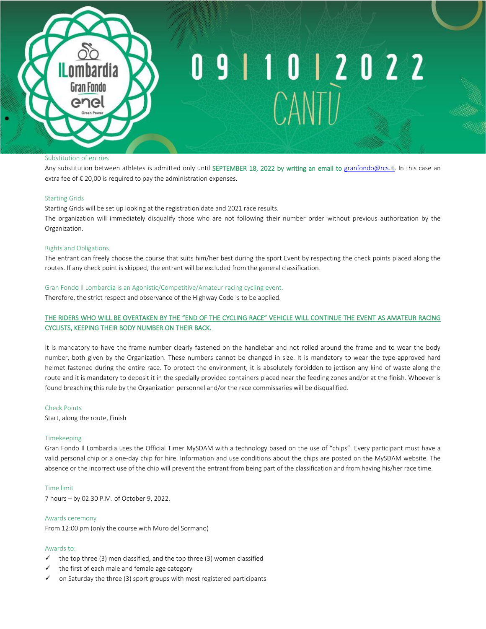

### 9 1 0 1 2 0 2 2

#### Substitution of entries

Any substitution between athletes is admitted only until SEPTEMBER 18, 2022 by writing an email to [granfondo@rcs.it.](mailto:granfondo@rcs.it) In this case an extra fee of  $\epsilon$  20,00 is required to pay the administration expenses.

#### Starting Grids

Starting Grids will be set up looking at the registration date and 2021 race results. The organization will immediately disqualify those who are not following their number order without previous authorization by the Organization.

#### Rights and Obligations

The entrant can freely choose the course that suits him/her best during the sport Event by respecting the check points placed along the routes. If any check point is skipped, the entrant will be excluded from the general classification.

#### Gran Fondo Il Lombardia is an Agonistic/Competitive/Amateur racing cycling event.

Therefore, the strict respect and observance of the Highway Code is to be applied.

#### THE RIDERS WHO WILL BE OVERTAKEN BY THE "END OF THE CYCLING RACE" VEHICLE WILL CONTINUE THE EVENT AS AMATEUR RACING CYCLISTS, KEEPING THEIR BODY NUMBER ON THEIR BACK.

It is mandatory to have the frame number clearly fastened on the handlebar and not rolled around the frame and to wear the body number, both given by the Organization. These numbers cannot be changed in size. It is mandatory to wear the type-approved hard helmet fastened during the entire race. To protect the environment, it is absolutely forbidden to jettison any kind of waste along the route and it is mandatory to deposit it in the specially provided containers placed near the feeding zones and/or at the finish. Whoever is found breaching this rule by the Organization personnel and/or the race commissaries will be disqualified.

#### Check Points

Start, along the route, Finish

#### Timekeeping

Gran Fondo Il Lombardia uses the Official Timer MySDAM with a technology based on the use of "chips". Every participant must have a valid personal chip or a one-day chip for hire. Information and use conditions about the chips are posted on the MySDAM website. The absence or the incorrect use of the chip will prevent the entrant from being part of the classification and from having his/her race time.

#### Time limit

7 hours – by 02.30 P.M. of October 9, 2022.

#### Awards ceremony

From 12:00 pm (only the course with Muro del Sormano)

#### Awards to:

- $\checkmark$  the top three (3) men classified, and the top three (3) women classified
- $\checkmark$  the first of each male and female age category
- $\checkmark$  on Saturday the three (3) sport groups with most registered participants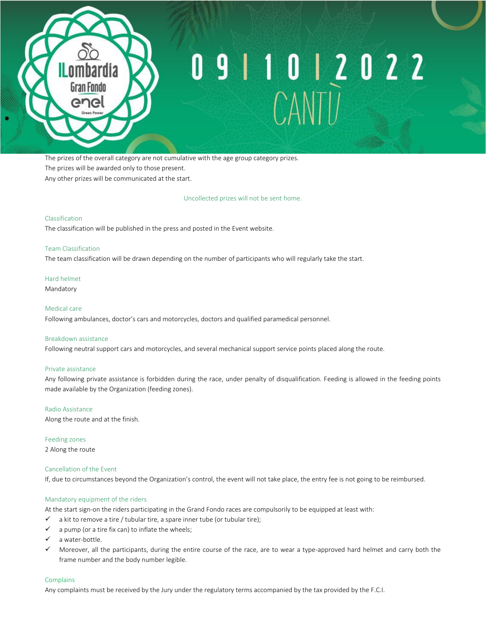

## 9 | 1 0 | 2 0 2 2

The prizes of the overall category are not cumulative with the age group category prizes. The prizes will be awarded only to those present. Any other prizes will be communicated at the start.

Uncollected prizes will not be sent home.

#### Classification

The classification will be published in the press and posted in the Event website.

#### Team Classification

The team classification will be drawn depending on the number of participants who will regularly take the start.

#### Hard helmet

Mandatory

#### Medical care

Following ambulances, doctor's cars and motorcycles, doctors and qualified paramedical personnel.

#### Breakdown assistance

Following neutral support cars and motorcycles, and several mechanical support service points placed along the route.

#### Private assistance

Any following private assistance is forbidden during the race, under penalty of disqualification. Feeding is allowed in the feeding points made available by the Organization (feeding zones).

#### Radio Assistance

Along the route and at the finish.

Feeding zones 2 Along the route

#### Cancellation of the Event

If, due to circumstances beyond the Organization's control, the event will not take place, the entry fee is not going to be reimbursed.

#### Mandatory equipment of the riders

At the start sign-on the riders participating in the Grand Fondo races are compulsorily to be equipped at least with:

- $\checkmark$  a kit to remove a tire / tubular tire, a spare inner tube (or tubular tire);
- $\checkmark$  a pump (or a tire fix can) to inflate the wheels;
- ✓ a water-bottle.
- ✓ Moreover, all the participants, during the entire course of the race, are to wear a type-approved hard helmet and carry both the frame number and the body number legible.

#### **Complains**

Any complaints must be received by the Jury under the regulatory terms accompanied by the tax provided by the F.C.I.